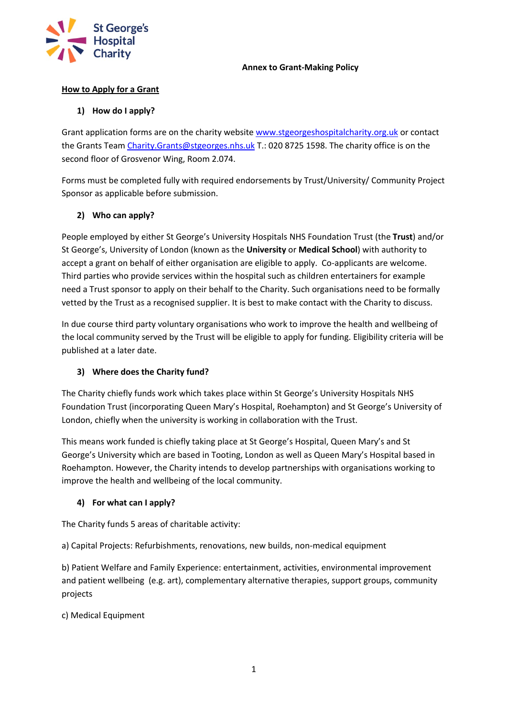#### **Annex to Grant-Making Policy**



#### **How to Apply for a Grant**

#### **1) How do I apply?**

Grant application forms are on the charity website www.stgeorgeshospitalcharity.org.uk or contact the Grants Team Charity.Grants@stgeorges.nhs.uk T.: 020 8725 1598. The charity office is on the second floor of Grosvenor Wing, Room 2.074.

Forms must be completed fully with required endorsements by Trust/University/ Community Project Sponsor as applicable before submission.

#### **2) Who can apply?**

People employed by either St George's University Hospitals NHS Foundation Trust (the **Trust**) and/or St George's, University of London (known as the **University** or **Medical School**) with authority to accept a grant on behalf of either organisation are eligible to apply. Co-applicants are welcome. Third parties who provide services within the hospital such as children entertainers for example need a Trust sponsor to apply on their behalf to the Charity. Such organisations need to be formally vetted by the Trust as a recognised supplier. It is best to make contact with the Charity to discuss.

In due course third party voluntary organisations who work to improve the health and wellbeing of the local community served by the Trust will be eligible to apply for funding. Eligibility criteria will be published at a later date.

## **3) Where does the Charity fund?**

The Charity chiefly funds work which takes place within St George's University Hospitals NHS Foundation Trust (incorporating Queen Mary's Hospital, Roehampton) and St George's University of London, chiefly when the university is working in collaboration with the Trust.

This means work funded is chiefly taking place at St George's Hospital, Queen Mary's and St George's University which are based in Tooting, London as well as Queen Mary's Hospital based in Roehampton. However, the Charity intends to develop partnerships with organisations working to improve the health and wellbeing of the local community.

## **4) For what can I apply?**

The Charity funds 5 areas of charitable activity:

a) Capital Projects: Refurbishments, renovations, new builds, non-medical equipment

b) Patient Welfare and Family Experience: entertainment, activities, environmental improvement and patient wellbeing (e.g. art), complementary alternative therapies, support groups, community projects

## c) Medical Equipment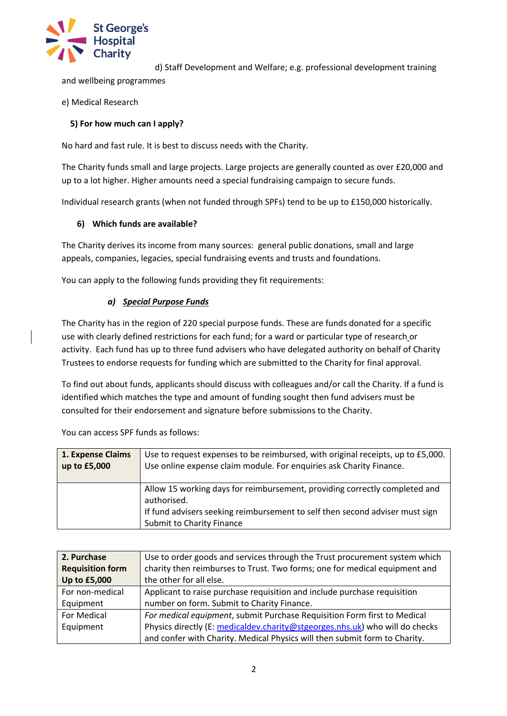

d) Staff Development and Welfare; e.g. professional development training and wellbeing programmes

e) Medical Research

## **5) For how much can I apply?**

No hard and fast rule. It is best to discuss needs with the Charity.

The Charity funds small and large projects. Large projects are generally counted as over £20,000 and up to a lot higher. Higher amounts need a special fundraising campaign to secure funds.

Individual research grants (when not funded through SPFs) tend to be up to £150,000 historically.

## **6) Which funds are available?**

The Charity derives its income from many sources: general public donations, small and large appeals, companies, legacies, special fundraising events and trusts and foundations.

You can apply to the following funds providing they fit requirements:

## *a) Special Purpose Funds*

The Charity has in the region of 220 special purpose funds. These are funds donated for a specific use with clearly defined restrictions for each fund; for a ward or particular type of research or activity. Each fund has up to three fund advisers who have delegated authority on behalf of Charity Trustees to endorse requests for funding which are submitted to the Charity for final approval.

To find out about funds, applicants should discuss with colleagues and/or call the Charity. If a fund is identified which matches the type and amount of funding sought then fund advisers must be consulted for their endorsement and signature before submissions to the Charity.

You can access SPF funds as follows:

| 1. Expense Claims | Use to request expenses to be reimbursed, with original receipts, up to £5,000.                                                                                                                               |
|-------------------|---------------------------------------------------------------------------------------------------------------------------------------------------------------------------------------------------------------|
| up to £5,000      | Use online expense claim module. For enquiries ask Charity Finance.                                                                                                                                           |
|                   | Allow 15 working days for reimbursement, providing correctly completed and<br>authorised.<br>If fund advisers seeking reimbursement to self then second adviser must sign<br><b>Submit to Charity Finance</b> |

| 2. Purchase             | Use to order goods and services through the Trust procurement system which   |
|-------------------------|------------------------------------------------------------------------------|
| <b>Requisition form</b> | charity then reimburses to Trust. Two forms; one for medical equipment and   |
| Up to £5,000            | the other for all else.                                                      |
| For non-medical         | Applicant to raise purchase requisition and include purchase requisition     |
| Equipment               | number on form. Submit to Charity Finance.                                   |
| For Medical             | For medical equipment, submit Purchase Requisition Form first to Medical     |
| Equipment               | Physics directly (E: medicaldev.charity@stgeorges.nhs.uk) who will do checks |
|                         | and confer with Charity. Medical Physics will then submit form to Charity.   |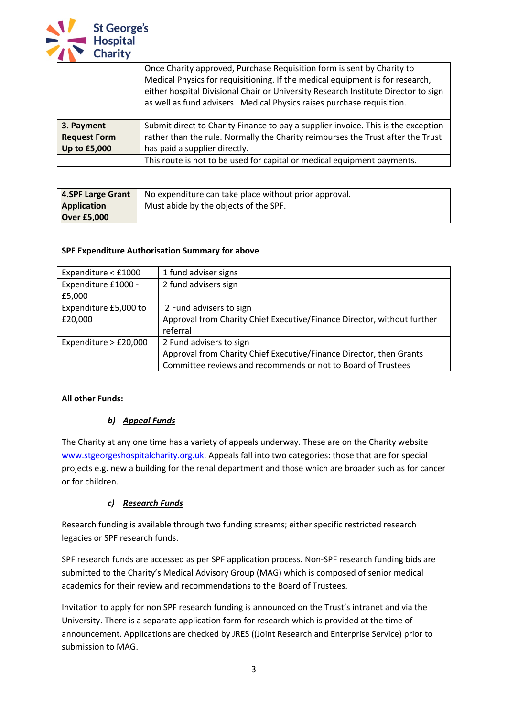

|                     | Once Charity approved, Purchase Requisition form is sent by Charity to<br>Medical Physics for requisitioning. If the medical equipment is for research,<br>either hospital Divisional Chair or University Research Institute Director to sign<br>as well as fund advisers. Medical Physics raises purchase requisition. |
|---------------------|-------------------------------------------------------------------------------------------------------------------------------------------------------------------------------------------------------------------------------------------------------------------------------------------------------------------------|
| 3. Payment          | Submit direct to Charity Finance to pay a supplier invoice. This is the exception                                                                                                                                                                                                                                       |
| <b>Request Form</b> | rather than the rule. Normally the Charity reimburses the Trust after the Trust                                                                                                                                                                                                                                         |
| Up to £5,000        | has paid a supplier directly.                                                                                                                                                                                                                                                                                           |
|                     | This route is not to be used for capital or medical equipment payments.                                                                                                                                                                                                                                                 |

| <b>4.SPF Large Grant</b> | No expenditure can take place without prior approval. |
|--------------------------|-------------------------------------------------------|
| <b>Application</b>       | Must abide by the objects of the SPF.                 |
| <b>Over £5,000</b>       |                                                       |

#### **SPF Expenditure Authorisation Summary for above**

| Expenditure < £1000     | 1 fund adviser signs                                                    |
|-------------------------|-------------------------------------------------------------------------|
| Expenditure £1000 -     | 2 fund advisers sign                                                    |
| £5,000                  |                                                                         |
| Expenditure £5,000 to   | 2 Fund advisers to sign                                                 |
| £20,000                 | Approval from Charity Chief Executive/Finance Director, without further |
|                         | referral                                                                |
| Expenditure $>$ £20,000 | 2 Fund advisers to sign                                                 |
|                         | Approval from Charity Chief Executive/Finance Director, then Grants     |
|                         | Committee reviews and recommends or not to Board of Trustees            |

## **All other Funds:**

## *b) Appeal Funds*

The Charity at any one time has a variety of appeals underway. These are on the Charity website www.stgeorgeshospitalcharity.org.uk. Appeals fall into two categories: those that are for special projects e.g. new a building for the renal department and those which are broader such as for cancer or for children.

## *c) Research Funds*

Research funding is available through two funding streams; either specific restricted research legacies or SPF research funds.

SPF research funds are accessed as per SPF application process. Non-SPF research funding bids are submitted to the Charity's Medical Advisory Group (MAG) which is composed of senior medical academics for their review and recommendations to the Board of Trustees.

Invitation to apply for non SPF research funding is announced on the Trust's intranet and via the University. There is a separate application form for research which is provided at the time of announcement. Applications are checked by JRES ((Joint Research and Enterprise Service) prior to submission to MAG.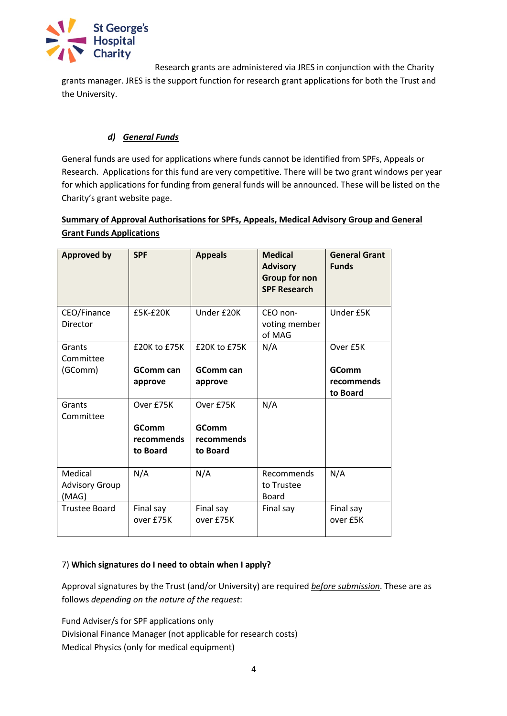

Research grants are administered via JRES in conjunction with the Charity grants manager. JRES is the support function for research grant applications for both the Trust and the University.

# *d) General Funds*

General funds are used for applications where funds cannot be identified from SPFs, Appeals or Research. Applications for this fund are very competitive. There will be two grant windows per year for which applications for funding from general funds will be announced. These will be listed on the Charity's grant website page.

# **Summary of Approval Authorisations for SPFs, Appeals, Medical Advisory Group and General Grant Funds Applications**

| <b>Approved by</b>                        | <b>SPF</b>                                          | <b>Appeals</b>                               | <b>Medical</b><br><b>Advisory</b><br><b>Group for non</b><br><b>SPF Research</b> | <b>General Grant</b><br><b>Funds</b>               |
|-------------------------------------------|-----------------------------------------------------|----------------------------------------------|----------------------------------------------------------------------------------|----------------------------------------------------|
| CEO/Finance<br>Director                   | £5K-£20K                                            | Under £20K                                   | CEO non-<br>voting member<br>of MAG                                              | Under £5K                                          |
| Grants<br>Committee<br>(GComm)            | £20K to £75K<br><b>GComm</b> can<br>approve         | £20K to £75K<br><b>GComm</b> can<br>approve  | N/A                                                                              | Over £5K<br><b>GComm</b><br>recommends<br>to Board |
| Grants<br>Committee                       | Over £75K<br><b>GComm</b><br>recommends<br>to Board | Over £75K<br>GComm<br>recommends<br>to Board | N/A                                                                              |                                                    |
| Medical<br><b>Advisory Group</b><br>(MAG) | N/A                                                 | N/A                                          | Recommends<br>to Trustee<br>Board                                                | N/A                                                |
| <b>Trustee Board</b>                      | Final say<br>over £75K                              | Final say<br>over £75K                       | Final say                                                                        | Final say<br>over £5K                              |

# 7) **Which signatures do I need to obtain when I apply?**

Approval signatures by the Trust (and/or University) are required *before submission*. These are as follows *depending on the nature of the request*:

Fund Adviser/s for SPF applications only Divisional Finance Manager (not applicable for research costs) Medical Physics (only for medical equipment)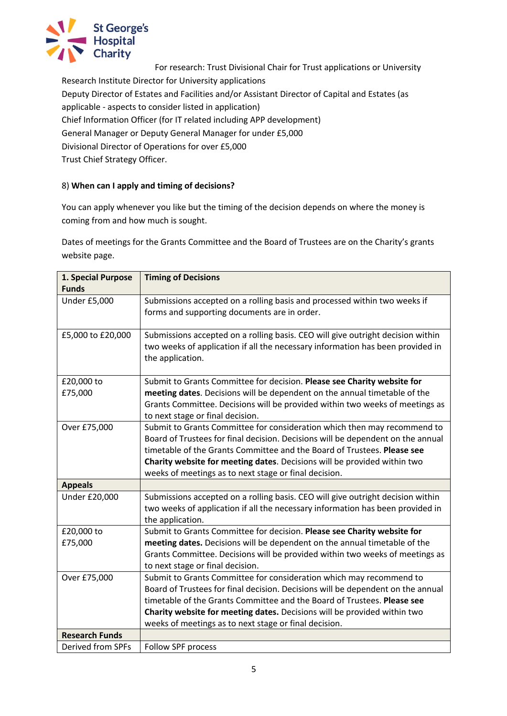

For research: Trust Divisional Chair for Trust applications or University Research Institute Director for University applications Deputy Director of Estates and Facilities and/or Assistant Director of Capital and Estates (as applicable - aspects to consider listed in application) Chief Information Officer (for IT related including APP development) General Manager or Deputy General Manager for under £5,000 Divisional Director of Operations for over £5,000 Trust Chief Strategy Officer.

## 8) **When can I apply and timing of decisions?**

You can apply whenever you like but the timing of the decision depends on where the money is coming from and how much is sought.

Dates of meetings for the Grants Committee and the Board of Trustees are on the Charity's grants website page.

| 1. Special Purpose    | <b>Timing of Decisions</b>                                                                                                                                                            |
|-----------------------|---------------------------------------------------------------------------------------------------------------------------------------------------------------------------------------|
| <b>Funds</b>          |                                                                                                                                                                                       |
| Under £5,000          | Submissions accepted on a rolling basis and processed within two weeks if<br>forms and supporting documents are in order.                                                             |
| £5,000 to £20,000     | Submissions accepted on a rolling basis. CEO will give outright decision within<br>two weeks of application if all the necessary information has been provided in<br>the application. |
| £20,000 to            | Submit to Grants Committee for decision. Please see Charity website for                                                                                                               |
| £75,000               | meeting dates. Decisions will be dependent on the annual timetable of the                                                                                                             |
|                       | Grants Committee. Decisions will be provided within two weeks of meetings as                                                                                                          |
|                       | to next stage or final decision.                                                                                                                                                      |
| Over £75,000          | Submit to Grants Committee for consideration which then may recommend to                                                                                                              |
|                       | Board of Trustees for final decision. Decisions will be dependent on the annual                                                                                                       |
|                       | timetable of the Grants Committee and the Board of Trustees. Please see                                                                                                               |
|                       | Charity website for meeting dates. Decisions will be provided within two                                                                                                              |
|                       | weeks of meetings as to next stage or final decision.                                                                                                                                 |
| <b>Appeals</b>        |                                                                                                                                                                                       |
| Under £20,000         | Submissions accepted on a rolling basis. CEO will give outright decision within                                                                                                       |
|                       | two weeks of application if all the necessary information has been provided in                                                                                                        |
|                       | the application.                                                                                                                                                                      |
| £20,000 to            | Submit to Grants Committee for decision. Please see Charity website for                                                                                                               |
| £75,000               | meeting dates. Decisions will be dependent on the annual timetable of the                                                                                                             |
|                       | Grants Committee. Decisions will be provided within two weeks of meetings as                                                                                                          |
|                       | to next stage or final decision.                                                                                                                                                      |
| Over £75,000          | Submit to Grants Committee for consideration which may recommend to                                                                                                                   |
|                       | Board of Trustees for final decision. Decisions will be dependent on the annual                                                                                                       |
|                       | timetable of the Grants Committee and the Board of Trustees. Please see                                                                                                               |
|                       | Charity website for meeting dates. Decisions will be provided within two                                                                                                              |
|                       | weeks of meetings as to next stage or final decision.                                                                                                                                 |
| <b>Research Funds</b> |                                                                                                                                                                                       |
| Derived from SPFs     | Follow SPF process                                                                                                                                                                    |